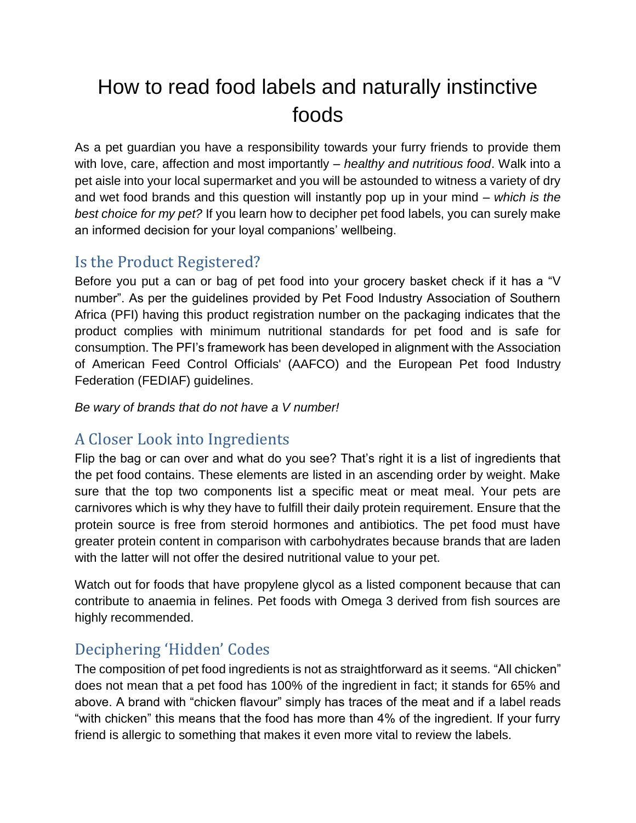# How to read food labels and naturally instinctive foods

As a pet guardian you have a responsibility towards your furry friends to provide them with love, care, affection and most importantly – *healthy and nutritious food*. Walk into a pet aisle into your local supermarket and you will be astounded to witness a variety of dry and wet food brands and this question will instantly pop up in your mind – *which is the best choice for my pet?* If you learn how to decipher pet food labels, you can surely make an informed decision for your loyal companions' wellbeing.

#### Is the Product Registered?

Before you put a can or bag of pet food into your grocery basket check if it has a "V number". As per the guidelines provided by Pet Food Industry Association of Southern Africa (PFI) having this product registration number on the packaging indicates that the product complies with minimum nutritional standards for pet food and is safe for consumption. The PFI's framework has been developed in alignment with the Association of American Feed Control Officials' (AAFCO) and the European Pet food Industry Federation (FEDIAF) guidelines.

#### *Be wary of brands that do not have a V number!*

## A Closer Look into Ingredients

Flip the bag or can over and what do you see? That's right it is a list of ingredients that the pet food contains. These elements are listed in an ascending order by weight. Make sure that the top two components list a specific meat or meat meal. Your pets are carnivores which is why they have to fulfill their daily protein requirement. Ensure that the protein source is free from steroid hormones and antibiotics. The pet food must have greater protein content in comparison with carbohydrates because brands that are laden with the latter will not offer the desired nutritional value to your pet.

Watch out for foods that have propylene glycol as a listed component because that can contribute to anaemia in felines. Pet foods with Omega 3 derived from fish sources are highly recommended.

## Deciphering 'Hidden' Codes

The composition of pet food ingredients is not as straightforward as it seems. "All chicken" does not mean that a pet food has 100% of the ingredient in fact; it stands for 65% and above. A brand with "chicken flavour" simply has traces of the meat and if a label reads "with chicken" this means that the food has more than 4% of the ingredient. If your furry friend is allergic to something that makes it even more vital to review the labels.